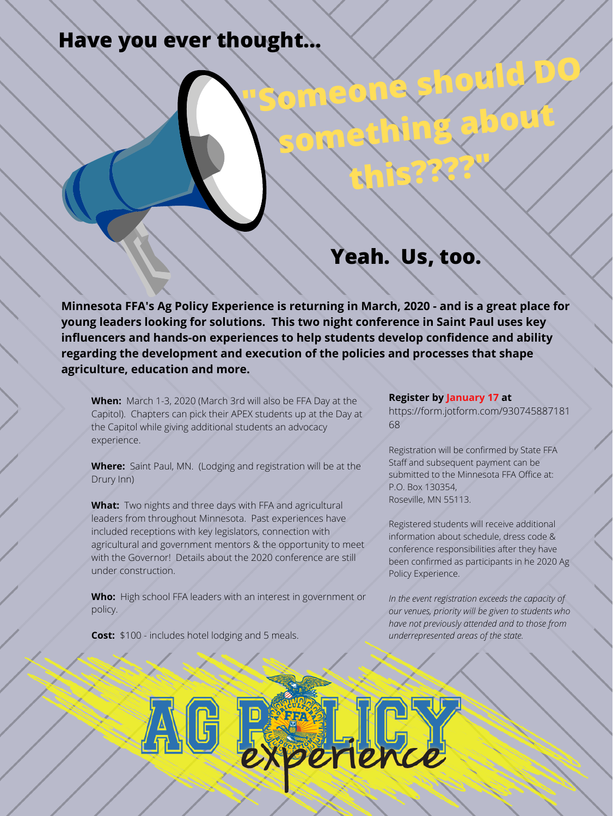**"Someone should DO**

**something about**

**this????"**

## **Yeah. Us, too.**

## **Have you ever thought...**

**Minnesota FFA's Ag Policy Experience is returning in March, 2020 - and is a great place for young leaders looking for solutions. This two night conference in Saint Paul uses key influencers and hands-on experiences to help students develop confidence and ability regarding the development and execution of the policies and processes that shape agriculture, education and more.**

**When:** March 1-3, 2020 (March 3rd will also be FFA Day at the Capitol). Chapters can pick their APEX students up at the Day at the Capitol while giving additional students an advocacy experience.

**Where:** Saint Paul, MN. (Lodging and registration will be at the Drury Inn)

**What:** Two nights and three days with FFA and agricultural leaders from throughout Minnesota. Past experiences have included receptions with key legislators, connection with agricultural and government mentors & the opportunity to meet with the Governor! Details about the 2020 conference are still under construction.

**Who:** High school FFA leaders with an interest in government or policy.

**Cost:** \$100 - includes hotel lodging and 5 meals.

**Register by January 17 at** https://form.jotform.com/930745887181 68

Registration will be confirmed by State FFA Staff and subsequent payment can be submitted to the Minnesota FFA Office at: P.O. Box 130354, Roseville, MN 55113.

Registered students will receive additional information about schedule, dress code & conference responsibilities after they have been confirmed as participants in he 2020 Ag Policy Experience.

*In the event registration exceeds the capacity of our venues, priority will be given to students who have not previously attended and to those from underrepresented areas of the state.*